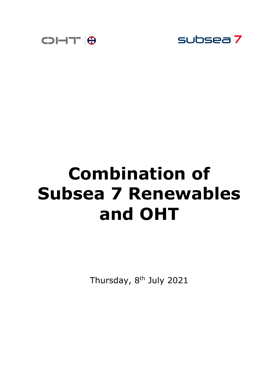



# **Combination of Subsea 7 Renewables and OHT**

Thursday, 8<sup>th</sup> July 2021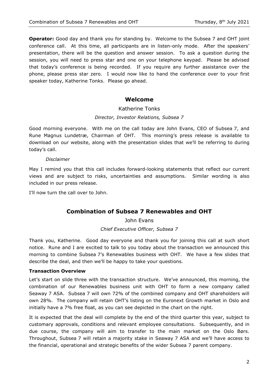**Operator:** Good day and thank you for standing by. Welcome to the Subsea 7 and OHT joint conference call. At this time, all participants are in listen-only mode. After the speakers' presentation, there will be the question and answer session. To ask a question during the session, you will need to press star and one on your telephone keypad. Please be advised that today's conference is being recorded. If you require any further assistance over the phone, please press star zero. I would now like to hand the conference over to your first speaker today, Katherine Tonks. Please go ahead.

# **Welcome**

# Katherine Tonks

# *Director, Investor Relations, Subsea 7*

Good morning everyone. With me on the call today are John Evans, CEO of Subsea 7, and Rune Magnus Lundetræ, Chairman of OHT. This morning's press release is available to download on our website, along with the presentation slides that we'll be referring to during today's call.

#### *Disclaimer*

May I remind you that this call includes forward-looking statements that reflect our current views and are subject to risks, uncertainties and assumptions. Similar wording is also included in our press release.

I'll now turn the call over to John.

# **Combination of Subsea 7 Renewables and OHT**

John Evans

*Chief Executive Officer, Subsea 7*

Thank you, Katherine. Good day everyone and thank you for joining this call at such short notice. Rune and I are excited to talk to you today about the transaction we announced this morning to combine Subsea 7's Renewables business with OHT. We have a few slides that describe the deal, and then we'll be happy to take your questions.

# **Transaction Overview**

Let's start on slide three with the transaction structure. We've announced, this morning, the combination of our Renewables business unit with OHT to form a new company called Seaway 7 ASA. Subsea 7 will own 72% of the combined company and OHT shareholders will own 28%. The company will retain OHT's listing on the Euronext Growth market in Oslo and initially have a 7% free float, as you can see depicted in the chart on the right.

It is expected that the deal will complete by the end of the third quarter this year, subject to customary approvals, conditions and relevant employee consultations. Subsequently, and in due course, the company will aim to transfer to the main market on the Oslo Børs. Throughout, Subsea 7 will retain a majority stake in Seaway 7 ASA and we'll have access to the financial, operational and strategic benefits of the wider Subsea 7 parent company.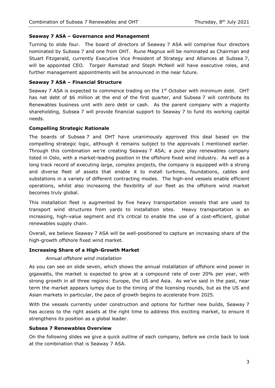# **Seaway 7 ASA – Governance and Management**

Turning to slide four. The board of directors of Seaway 7 ASA will comprise four directors nominated by Subsea 7 and one from OHT. Rune Magnus will be nominated as Chairman and Stuart Fitzgerald, currently Executive Vice President of Strategy and Alliances at Subsea 7, will be appointed CEO. Torgeir Ramstad and Steph McNeill will have executive roles, and further management appointments will be announced in the near future.

# **Seaway 7 ASA – Financial Structure**

Seaway 7 ASA is expected to commence trading on the  $1<sup>st</sup>$  October with minimum debt. OHT has net debt of \$6 million at the end of the first quarter, and Subsea 7 will contribute its Renewables business unit with zero debt or cash. As the parent company with a majority shareholding, Subsea 7 will provide financial support to Seaway 7 to fund its working capital needs.

#### **Compelling Strategic Rationale**

The boards of Subsea 7 and OHT have unanimously approved this deal based on the compelling strategic logic, although it remains subject to the approvals I mentioned earlier. Through this combination we're creating Seaway 7 ASA; a pure play renewables company listed in Oslo, with a market-leading position in the offshore fixed wind industry. As well as a long track record of executing large, complex projects, the company is equipped with a strong and diverse fleet of assets that enable it to install turbines, foundations, cables and substations in a variety of different contracting modes. The high-end vessels enable efficient operations, whilst also increasing the flexibility of our fleet as the offshore wind market becomes truly global.

This installation fleet is augmented by five heavy transportation vessels that are used to transport wind structures from yards to installation sites. Heavy transportation is an increasing, high-value segment and it's critical to enable the use of a cost-efficient, global renewables supply chain.

Overall, we believe Seaway 7 ASA will be well-positioned to capture an increasing share of the high-growth offshore fixed wind market.

#### **Increasing Share of a High-Growth Market**

#### *Annual offshore wind installation*

As you can see on slide seven, which shows the annual installation of offshore wind power in gigawatts, the market is expected to grow at a compound rate of over 20% per year, with strong growth in all three regions: Europe, the US and Asia. As we've said in the past, near term the market appears lumpy due to the timing of the licensing rounds, but as the US and Asian markets in particular, the pace of growth begins to accelerate from 2025.

With the vessels currently under construction and options for further new builds, Seaway 7 has access to the right assets at the right time to address this exciting market, to ensure it strengthens its position as a global leader.

#### **Subsea 7 Renewables Overview**

On the following slides we give a quick outline of each company, before we circle back to look at the combination that is Seaway 7 ASA.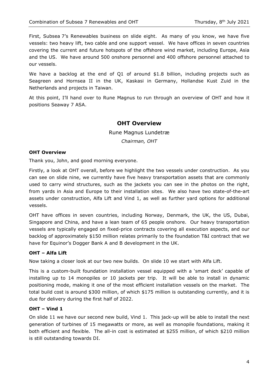First, Subsea 7's Renewables business on slide eight. As many of you know, we have five vessels: two heavy lift, two cable and one support vessel. We have offices in seven countries covering the current and future hotspots of the offshore wind market, including Europe, Asia and the US. We have around 500 onshore personnel and 400 offshore personnel attached to our vessels.

We have a backlog at the end of Q1 of around \$1.8 billion, including projects such as Seagreen and Hornsea II in the UK, Kaskasi in Germany, Hollandse Kust Zuid in the Netherlands and projects in Taiwan.

At this point, I'll hand over to Rune Magnus to run through an overview of OHT and how it positions Seaway 7 ASA.

# **OHT Overview**

Rune Magnus Lundetræ *Chairman, OHT*

#### **OHT Overview**

Thank you, John, and good morning everyone.

Firstly, a look at OHT overall, before we highlight the two vessels under construction. As you can see on slide nine, we currently have five heavy transportation assets that are commonly used to carry wind structures, such as the jackets you can see in the photos on the right, from yards in Asia and Europe to their installation sites. We also have two state-of-the-art assets under construction, Alfa Lift and Vind 1, as well as further yard options for additional vessels.

OHT have offices in seven countries, including Norway, Denmark, the UK, the US, Dubai, Singapore and China, and have a lean team of 65 people onshore. Our heavy transportation vessels are typically engaged on fixed-price contracts covering all execution aspects, and our backlog of approximately \$150 million relates primarily to the foundation T&I contract that we have for Equinor's Dogger Bank A and B development in the UK.

#### **OHT – Alfa Lift**

Now taking a closer look at our two new builds. On slide 10 we start with Alfa Lift.

This is a custom-built foundation installation vessel equipped with a 'smart deck' capable of installing up to 14 monopiles or 10 jackets per trip. It will be able to install in dynamic positioning mode, making it one of the most efficient installation vessels on the market. The total build cost is around \$300 million, of which \$175 million is outstanding currently, and it is due for delivery during the first half of 2022.

#### **OHT – Vind 1**

On slide 11 we have our second new build, Vind 1. This jack-up will be able to install the next generation of turbines of 15 megawatts or more, as well as monopile foundations, making it both efficient and flexible. The all-in cost is estimated at \$255 million, of which \$210 million is still outstanding towards DI.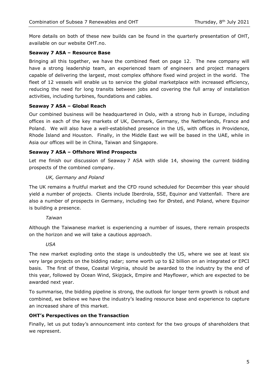More details on both of these new builds can be found in the quarterly presentation of OHT, available on our website OHT.no.

# **Seaway 7 ASA – Resource Base**

Bringing all this together, we have the combined fleet on page 12. The new company will have a strong leadership team, an experienced team of engineers and project managers capable of delivering the largest, most complex offshore fixed wind project in the world. The fleet of 12 vessels will enable us to service the global marketplace with increased efficiency, reducing the need for long transits between jobs and covering the full array of installation activities, including turbines, foundations and cables.

# **Seaway 7 ASA – Global Reach**

Our combined business will be headquartered in Oslo, with a strong hub in Europe, including offices in each of the key markets of UK, Denmark, Germany, the Netherlands, France and Poland. We will also have a well-established presence in the US, with offices in Providence, Rhode Island and Houston. Finally, in the Middle East we will be based in the UAE, while in Asia our offices will be in China, Taiwan and Singapore.

# **Seaway 7 ASA – Offshore Wind Prospects**

Let me finish our discussion of Seaway 7 ASA with slide 14, showing the current bidding prospects of the combined company.

# *UK, Germany and Poland*

The UK remains a fruitful market and the CFD round scheduled for December this year should yield a number of projects. Clients include Iberdrola, SSE, Equinor and Vattenfall. There are also a number of prospects in Germany, including two for Ørsted, and Poland, where Equinor is building a presence.

# *Taiwan*

Although the Taiwanese market is experiencing a number of issues, there remain prospects on the horizon and we will take a cautious approach.

# *USA*

The new market exploding onto the stage is undoubtedly the US, where we see at least six very large projects on the bidding radar; some worth up to \$2 billion on an integrated or EPCI basis. The first of these, Coastal Virginia, should be awarded to the industry by the end of this year, followed by Ocean Wind, Skipjack, Empire and Mayflower, which are expected to be awarded next year.

To summarise, the bidding pipeline is strong, the outlook for longer term growth is robust and combined, we believe we have the industry's leading resource base and experience to capture an increased share of this market.

# **OHT's Perspectives on the Transaction**

Finally, let us put today's announcement into context for the two groups of shareholders that we represent.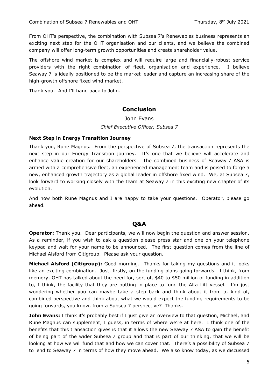From OHT's perspective, the combination with Subsea 7's Renewables business represents an exciting next step for the OHT organisation and our clients, and we believe the combined company will offer long-term growth opportunities and create shareholder value.

The offshore wind market is complex and will require large and financially-robust service providers with the right combination of fleet, organisation and experience. I believe Seaway 7 is ideally positioned to be the market leader and capture an increasing share of the high-growth offshore fixed wind market.

Thank you. And I'll hand back to John.

# **Conclusion**

John Evans *Chief Executive Officer, Subsea 7*

#### **Next Step in Energy Transition Journey**

Thank you, Rune Magnus. From the perspective of Subsea 7, the transaction represents the next step in our Energy Transition journey. It's one that we believe will accelerate and enhance value creation for our shareholders. The combined business of Seaway 7 ASA is armed with a comprehensive fleet, an experienced management team and is poised to forge a new, enhanced growth trajectory as a global leader in offshore fixed wind. We, at Subsea 7, look forward to working closely with the team at Seaway 7 in this exciting new chapter of its evolution.

And now both Rune Magnus and I are happy to take your questions. Operator, please go ahead.

# **Q&A**

**Operator:** Thank you. Dear participants, we will now begin the question and answer session. As a reminder, if you wish to ask a question please press star and one on your telephone keypad and wait for your name to be announced. The first question comes from the line of Michael Alsford from Citigroup. Please ask your question.

**Michael Alsford (Citigroup):** Good morning. Thanks for taking my questions and it looks like an exciting combination. Just, firstly, on the funding plans going forwards. I think, from memory, OHT has talked about the need for, sort of, \$40 to \$50 million of funding in addition to, I think, the facility that they are putting in place to fund the Alfa Lift vessel. I'm just wondering whether you can maybe take a step back and think about it from a, kind of, combined perspective and think about what we would expect the funding requirements to be going forwards, you know, from a Subsea 7 perspective? Thanks.

**John Evans:** I think it's probably best if I just give an overview to that question, Michael, and Rune Magnus can supplement, I guess, in terms of where we're at here. I think one of the benefits that this transaction gives is that it allows the new Seaway 7 ASA to gain the benefit of being part of the wider Subsea 7 group and that is part of our thinking, that we will be looking at how we will fund that and how we can cover that. There's a possibility of Subsea 7 to lend to Seaway 7 in terms of how they move ahead. We also know today, as we discussed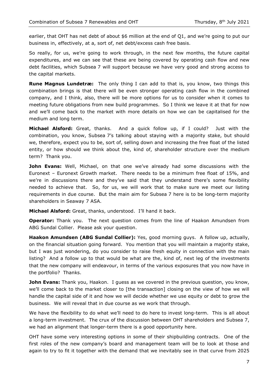earlier, that OHT has net debt of about \$6 million at the end of Q1, and we're going to put our business in, effectively, at a, sort of, net debt/excess cash free basis.

So really, for us, we're going to work through, in the next few months, the future capital expenditures, and we can see that these are being covered by operating cash flow and new debt facilities, which Subsea 7 will support because we have very good and strong access to the capital markets.

**Rune Magnus Lundetræ:** The only thing I can add to that is, you know, two things this combination brings is that there will be even stronger operating cash flow in the combined company, and I think, also, there will be more options for us to consider when it comes to meeting future obligations from new build programmes. So I think we leave it at that for now and we'll come back to the market with more details on how we can be capitalised for the medium and long term.

**Michael Alsford:** Great, thanks. And a quick follow up, if I could? Just with the combination, you know, Subsea 7's talking about staying with a majority stake, but should we, therefore, expect you to be, sort of, selling down and increasing the free float of the listed entity, or how should we think about the, kind of, shareholder structure over the medium term? Thank you.

**John Evans:** Well, Michael, on that one we've already had some discussions with the Euronext – Euronext Growth market. There needs to be a minimum free float of 15%, and we're in discussions there and they've said that they understand there's some flexibility needed to achieve that. So, for us, we will work that to make sure we meet our listing requirements in due course. But the main aim for Subsea 7 here is to be long-term majority shareholders in Seaway 7 ASA.

**Michael Alsford:** Great, thanks, understood. I'll hand it back.

**Operator:** Thank you. The next question comes from the line of Haakon Amundsen from ABG Sundal Collier. Please ask your question.

**Haakon Amundsen (ABG Sundal Collier):** Yes, good morning guys. A follow up, actually, on the financial situation going forward. You mention that you will maintain a majority stake, but I was just wondering, do you consider to raise fresh equity in connection with the main listing? And a follow up to that would be what are the, kind of, next leg of the investments that the new company will endeavour, in terms of the various exposures that you now have in the portfolio? Thanks.

**John Evans:** Thank you, Haakon. I guess as we covered in the previous question, you know, we'll come back to the market closer to [the transaction] closing on the view of how we will handle the capital side of it and how we will decide whether we use equity or debt to grow the business. We will reveal that in due course as we work that through.

We have the flexibility to do what we'll need to do here to invest long-term. This is all about a long-term investment. The crux of the discussion between OHT shareholders and Subsea 7, we had an alignment that longer-term there is a good opportunity here.

OHT have some very interesting options in some of their shipbuilding contracts. One of the first roles of the new company's board and management team will be to look at those and again to try to fit it together with the demand that we inevitably see in that curve from 2025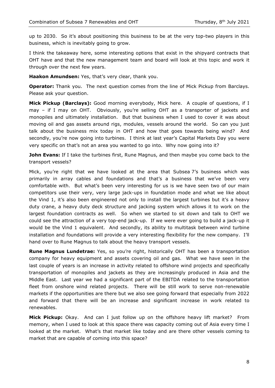up to 2030. So it's about positioning this business to be at the very top-two players in this business, which is inevitably going to grow.

I think the takeaway here, some interesting options that exist in the shipyard contracts that OHT have and that the new management team and board will look at this topic and work it through over the next few years.

**Haakon Amundsen:** Yes, that's very clear, thank you.

**Operator:** Thank you. The next question comes from the line of Mick Pickup from Barclays. Please ask your question.

**Mick Pickup (Barclays):** Good morning everybody, Mick here. A couple of questions, if I may – if I may on OHT. Obviously, you're selling OHT as a transporter of jackets and monopiles and ultimately installation. But that business when I used to cover it was about moving oil and gas assets around rigs, modules, vessels around the world. So can you just talk about the business mix today in OHT and how that goes towards being wind? And secondly, you're now going into turbines. I think at last year's Capital Markets Day you were very specific on that's not an area you wanted to go into. Why now going into it?

**John Evans:** If I take the turbines first, Rune Magnus, and then maybe you come back to the transport vessels?

Mick, you're right that we have looked at the area that Subsea 7's business which was primarily in array cables and foundations and that's a business that we've been very comfortable with. But what's been very interesting for us is we have seen two of our main competitors use their very, very large jack-ups in foundation mode and what we like about the Vind 1, it's also been engineered not only to install the largest turbines but it's a heavy duty crane, a heavy duty deck structure and jacking system which allows it to work on the largest foundation contracts as well. So when we started to sit down and talk to OHT we could see the attraction of a very top-end jack-up. If we were ever going to build a jack-up it would be the Vind 1 equivalent. And secondly, its ability to multitask between wind turbine installation and foundations will provide a very interesting flexibility for the new company. I'll hand over to Rune Magnus to talk about the heavy transport vessels.

**Rune Magnus Lundetrae:** Yes, so you're right, historically OHT has been a transportation company for heavy equipment and assets covering oil and gas. What we have seen in the last couple of years is an increase in activity related to offshore wind projects and specifically transportation of monopiles and jackets as they are increasingly produced in Asia and the Middle East. Last year we had a significant part of the EBITDA related to the transportation fleet from onshore wind related projects. There will be still work to serve non-renewable markets if the opportunities are there but we also see going forward that especially from 2022 and forward that there will be an increase and significant increase in work related to renewables.

**Mick Pickup:** Okay. And can I just follow up on the offshore heavy lift market? From memory, when I used to look at this space there was capacity coming out of Asia every time I looked at the market. What's that market like today and are there other vessels coming to market that are capable of coming into this space?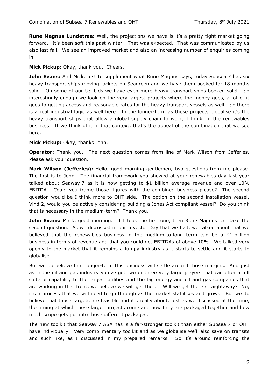**Rune Magnus Lundetrae:** Well, the projections we have is it's a pretty tight market going forward. It's been soft this past winter. That was expected. That was communicated by us also last fall. We see an improved market and also an increasing number of enquiries coming in.

# **Mick Pickup:** Okay, thank you. Cheers.

**John Evans:** And Mick, just to supplement what Rune Magnus says, today Subsea 7 has six heavy transport ships moving jackets on Seagreen and we have them booked for 18 months solid. On some of our US bids we have even more heavy transport ships booked solid. So interestingly enough we look on the very largest projects where the money goes, a lot of it goes to getting access and reasonable rates for the heavy transport vessels as well. So there is a real industrial logic as well here. In the longer-term as these projects globalise it's the heavy transport ships that allow a global supply chain to work, I think, in the renewables business. If we think of it in that context, that's the appeal of the combination that we see here.

# **Mick Pickup:** Okay, thanks John.

**Operator:** Thank you. The next question comes from line of Mark Wilson from Jefferies. Please ask your question.

**Mark Wilson (Jefferies):** Hello, good morning gentlemen, two questions from me please. The first is to John. The financial framework you showed at your renewables day last year talked about Seaway 7 as it is now getting to \$1 billion average revenue and over 10% EBITDA. Could you frame those figures with the combined business please? The second question would be I think more to OHT side. The option on the second installation vessel, Vind 2, would you be actively considering building a Jones Act compliant vessel? Do you think that is necessary in the medium-term? Thank you.

**John Evans:** Mark, good morning. If I took the first one, then Rune Magnus can take the second question. As we discussed in our Investor Day that we had, we talked about that we believed that the renewables business in the medium-to-long term can be a \$1-billlion business in terms of revenue and that you could get EBITDAs of above 10%. We talked very openly to the market that it remains a lumpy industry as it starts to settle and it starts to globalise.

But we do believe that longer-term this business will settle around those margins. And just as in the oil and gas industry you've got two or three very large players that can offer a full suite of capability to the largest utilities and the big energy and oil and gas companies that are working in that front, we believe we will get there. Will we get there straightaway? No, it's a process that we will need to go through as the market stabilises and grows. But we do believe that those targets are feasible and it's really about, just as we discussed at the time, the timing at which these larger projects come and how they are packaged together and how much scope gets put into those different packages.

The new toolkit that Seaway 7 ASA has is a far-stronger toolkit than either Subsea 7 or OHT have individually. Very complimentary toolkit and as we globalise we'll also save on transits and such like, as I discussed in my prepared remarks. So it's around reinforcing the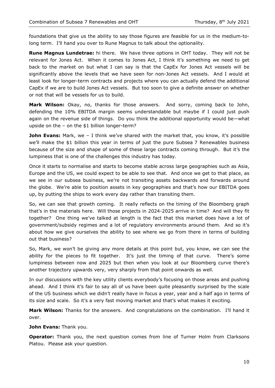foundations that give us the ability to say those figures are feasible for us in the medium-tolong term. I'll hand you over to Rune Magnus to talk about the optionality.

**Rune Magnus Lundetrae:** hi there. We have three options in OHT today. They will not be relevant for Jones Act. When it comes to Jones Act, I think it's something we need to get back to the market on but what I can say is that the CapEx for Jones Act vessels will be significantly above the levels that we have seen for non-Jones Act vessels. And I would at least look for longer-term contracts and projects where you can actually defend the additional CapEx if we are to build Jones Act vessels. But too soon to give a definite answer on whether or not that will be vessels for us to build.

**Mark Wilson:** Okay, no, thanks for those answers. And sorry, coming back to John, defending the 10% EBITDA margin seems understandable but maybe if I could just push again on the revenue side of things. Do you think the additional opportunity would be—what upside on the – on the \$1 billion longer-term?

**John Evans:** Mark, we - I think we've shared with the market that, you know, it's possible we'll make the \$1 billion this year in terms of just the pure Subsea 7 Renewables business because of the size and shape of some of these large contracts coming through. But it's the lumpiness that is one of the challenges this industry has today.

Once it starts to normalise and starts to become stable across large geographies such as Asia, Europe and the US, we could expect to be able to see that. And once we get to that place, as we see in our subsea business, we're not transiting assets backwards and forwards around the globe. We're able to position assets in key geographies and that's how our EBITDA goes up, by putting the ships to work every day rather than transiting them.

So, we can see that growth coming. It really reflects on the timing of the Bloomberg graph that's in the materials here. Will those projects in 2024-2025 arrive in time? And will they fit together? One thing we've talked at length is the fact that this market does have a lot of government/subsidy regimes and a lot of regulatory environments around them. And so it's about how we give ourselves the ability to see where we go from there in terms of building out that business?

So, Mark, we won't be giving any more details at this point but, you know, we can see the ability for the pieces to fit together. It's just the timing of that curve. There's some lumpiness between now and 2025 but then when you look at our Bloomberg curve there's another trajectory upwards very, very sharply from that point onwards as well.

In our discussions with the key utility clients everybody's focusing on those areas and pushing ahead. And I think it's fair to say all of us have been quite pleasantly surprised by the scale of the US business which we didn't really have in focus a year, year and a half ago in terms of its size and scale. So it's a very fast moving market and that's what makes it exciting.

**Mark Wilson:** Thanks for the answers. And congratulations on the combination. I'll hand it over.

**John Evans:** Thank you.

**Operator:** Thank you, the next question comes from line of Turner Holm from Clarksons Platou. Please ask your question.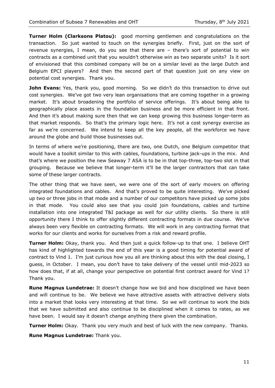**Turner Holm (Clarksons Platou):** good morning gentlemen and congratulations on the transaction. So just wanted to touch on the synergies briefly. First, just on the sort of revenue synergies, I mean, do you see that there are – there's sort of potential to win contracts as a combined unit that you wouldn't otherwise win as two separate units? Is it sort of envisioned that this combined company will be on a similar level as the large Dutch and Belgium EPCI players? And then the second part of that question just on any view on potential cost synergies. Thank you.

**John Evans:** Yes, thank you, good morning. So we didn't do this transaction to drive out cost synergies. We've got two very lean organisations that are coming together in a growing market. It's about broadening the portfolio of service offerings. It's about being able to geographically place assets in the foundation business and be more efficient in that front. And then it's about making sure then that we can keep growing this business longer-term as that market responds. So that's the primary logic here. It's not a cost synergy exercise as far as we're concerned. We intend to keep all the key people, all the workforce we have around the globe and build those businesses out.

In terms of where we're positioning, there are two, one Dutch, one Belgium competitor that would have a toolkit similar to this with cables, foundations, turbine jack-ups in the mix. And that's where we position the new Seaway 7 ASA is to be in that top-three, top-two slot in that grouping. Because we believe that longer-term it'll be the larger contractors that can take some of these larger contracts.

The other thing that we have seen, we were one of the sort of early movers on offering integrated foundations and cables. And that's proved to be quite interesting. We've picked up two or three jobs in that mode and a number of our competitors have picked up some jobs in that mode. You could also see that you could join foundations, cables and turbine installation into one integrated T&I package as well for our utility clients. So there is still opportunity there I think to offer slightly different contracting formats in due course. We've always been very flexible on contracting formats. We will work in any contracting format that works for our clients and works for ourselves from a risk and reward profile.

**Turner Holm:** Okay, thank you. And then just a quick follow-up to that one. I believe OHT has kind of highlighted towards the end of this year is a good timing for potential award of contract to Vind 1. I'm just curious how you all are thinking about this with the deal closing, I guess, in October. I mean, you don't have to take delivery of the vessel until mid-2023 so how does that, if at all, change your perspective on potential first contract award for Vind 1? Thank you.

**Rune Magnus Lundetrae:** It doesn't change how we bid and how disciplined we have been and will continue to be. We believe we have attractive assets with attractive delivery slots into a market that looks very interesting at that time. So we will continue to work the bids that we have submitted and also continue to be disciplined when it comes to rates, as we have been. I would say it doesn't change anything there given the combination.

**Turner Holm:** Okay. Thank you very much and best of luck with the new company. Thanks.

**Rune Magnus Lundetrae:** Thank you.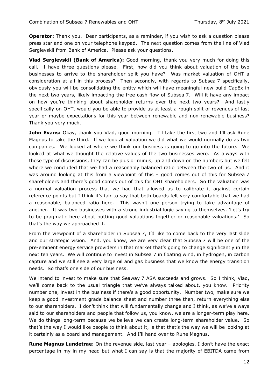**Operator:** Thank you. Dear participants, as a reminder, if you wish to ask a question please press star and one on your telephone keypad. The next question comes from the line of Vlad Sergievskii from Bank of America. Please ask your questions.

**Vlad Sergievskii (Bank of America):** Good morning, thank you very much for doing this call. I have three questions please. First, how did you think about valuation of the two businesses to arrive to the shareholder split you have? Was market valuation of OHT a consideration at all in this process? Then secondly, with regards to Subsea 7 specifically, obviously you will be consolidating the entity which will have meaningful new build CapEx in the next two years, likely impacting the free cash flow of Subsea 7. Will it have any impact on how you're thinking about shareholder returns over the next two years? And lastly specifically on OHT, would you be able to provide us at least a rough split of revenues of last year or maybe expectations for this year between renewable and non-renewable business? Thank you very much.

**John Evans:** Okay, thank you Vlad, good morning. I'll take the first two and I'll ask Rune Magnus to take the third. If we look at valuation we did what we would normally do as two companies. We looked at where we think our business is going to go into the future. We looked at what we thought the relative values of the two businesses were. As always with those type of discussions, they can be plus or minus, up and down on the numbers but we felt where we concluded that we had a reasonably balanced ratio between the two of us. And it was around looking at this from a viewpoint of this – good comes out of this for Subsea 7 shareholders and there's good comes out of this for OHT shareholders. So the valuation was a normal valuation process that we had that allowed us to calibrate it against certain reference points but I think it's fair to say that both boards felt very comfortable that we had a reasonable, balanced ratio here. This wasn't one person trying to take advantage of another. It was two businesses with a strong industrial logic saying to themselves, 'Let's try to be pragmatic here about putting good valuations together or reasonable valuations.' So that's the way we approached it.

From the viewpoint of a shareholder in Subsea 7, I'd like to come back to the very last slide and our strategic vision. And, you know, we are very clear that Subsea 7 will be one of the pre-eminent energy service providers in that market that's going to change significantly in the next ten years. We will continue to invest in Subsea 7 in floating wind, in hydrogen, in carbon capture and we still see a very large oil and gas business that we know the energy transition needs. So that's one side of our business.

We intend to invest to make sure that Seaway 7 ASA succeeds and grows. So I think, Vlad, we'll come back to the usual triangle that we've always talked about, you know. Priority number one, invest in the business if there's a good opportunity. Number two, make sure we keep a good investment grade balance sheet and number three then, return everything else to our shareholders. I don't think that will fundamentally change and I think, as we've always said to our shareholders and people that follow us, you know, we are a longer-term play here. We do things long-term because we believe we can create long-term shareholder value. So that's the way I would like people to think about it, is that that's the way we will be looking at it certainly as a board and management. And I'll hand over to Rune Magnus.

**Rune Magnus Lundetrae:** On the revenue side, last year – apologies, I don't have the exact percentage in my in my head but what I can say is that the majority of EBITDA came from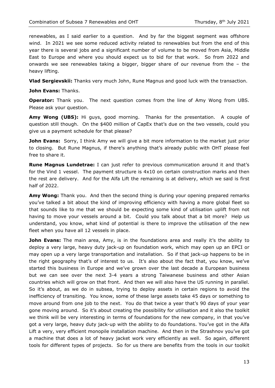renewables, as I said earlier to a question. And by far the biggest segment was offshore wind. In 2021 we see some reduced activity related to renewables but from the end of this year there is several jobs and a significant number of volume to be moved from Asia, Middle East to Europe and where you should expect us to bid for that work. So from 2022 and onwards we see renewables taking a bigger, bigger share of our revenue from the – the heavy lifting.

**Vlad Sergievskii:** Thanks very much John, Rune Magnus and good luck with the transaction.

**John Evans:** Thanks.

**Operator:** Thank you. The next question comes from the line of Amy Wong from UBS. Please ask your question.

**Amy Wong (UBS):** Hi guys, good morning. Thanks for the presentation. A couple of question still though. On the \$400 million of CapEx that's due on the two vessels, could you give us a payment schedule for that please?

**John Evans:** Sorry, I think Amy we will give a bit more information to the market just prior to closing. But Rune Magnus, if there's anything that's already public with OHT please feel free to share it.

**Rune Magnus Lundetrae:** I can just refer to previous communication around it and that's for the Vind 1 vessel. The payment structure is 4x10 on certain construction marks and then the rest are delivery. And for the Alfa Lift the remaining is at delivery, which we said is first half of 2022.

**Amy Wong:** Thank you. And then the second thing is during your opening prepared remarks you've talked a bit about the kind of improving efficiency with having a more global fleet so that sounds like to me that we should be expecting some kind of utilisation uplift from not having to move your vessels around a bit. Could you talk about that a bit more? Help us understand, you know, what kind of potential is there to improve the utilisation of the new fleet when you have all 12 vessels in place.

**John Evans:** The main area, Amy, is in the foundations area and really it's the ability to deploy a very large, heavy duty jack-up on foundation work, which may open up an EPCI or may open up a very large transportation and installation. So if that jack-up happens to be in the right geography that's of interest to us. It's also about the fact that, you know, we've started this business in Europe and we've grown over the last decade a European business but we can see over the next 3-4 years a strong Taiwanese business and other Asian countries which will grow on that front. And then we will also have the US running in parallel. So it's about, as we do in subsea, trying to deploy assets in certain regions to avoid the inefficiency of transiting. You know, some of these large assets take 45 days or something to move around from one job to the next. You do that twice a year that's 90 days of your year gone moving around. So it's about creating the possibility for utilisation and it also the toolkit we think will be very interesting in terms of foundations for the new company, in that you've got a very large, heavy duty jack-up with the ability to do foundations. You've got in the Alfa Lift a very, very efficient monopile installation machine. And then in the Strashnov you've got a machine that does a lot of heavy jacket work very efficiently as well. So again, different tools for different types of projects. So for us there are benefits from the tools in our toolkit